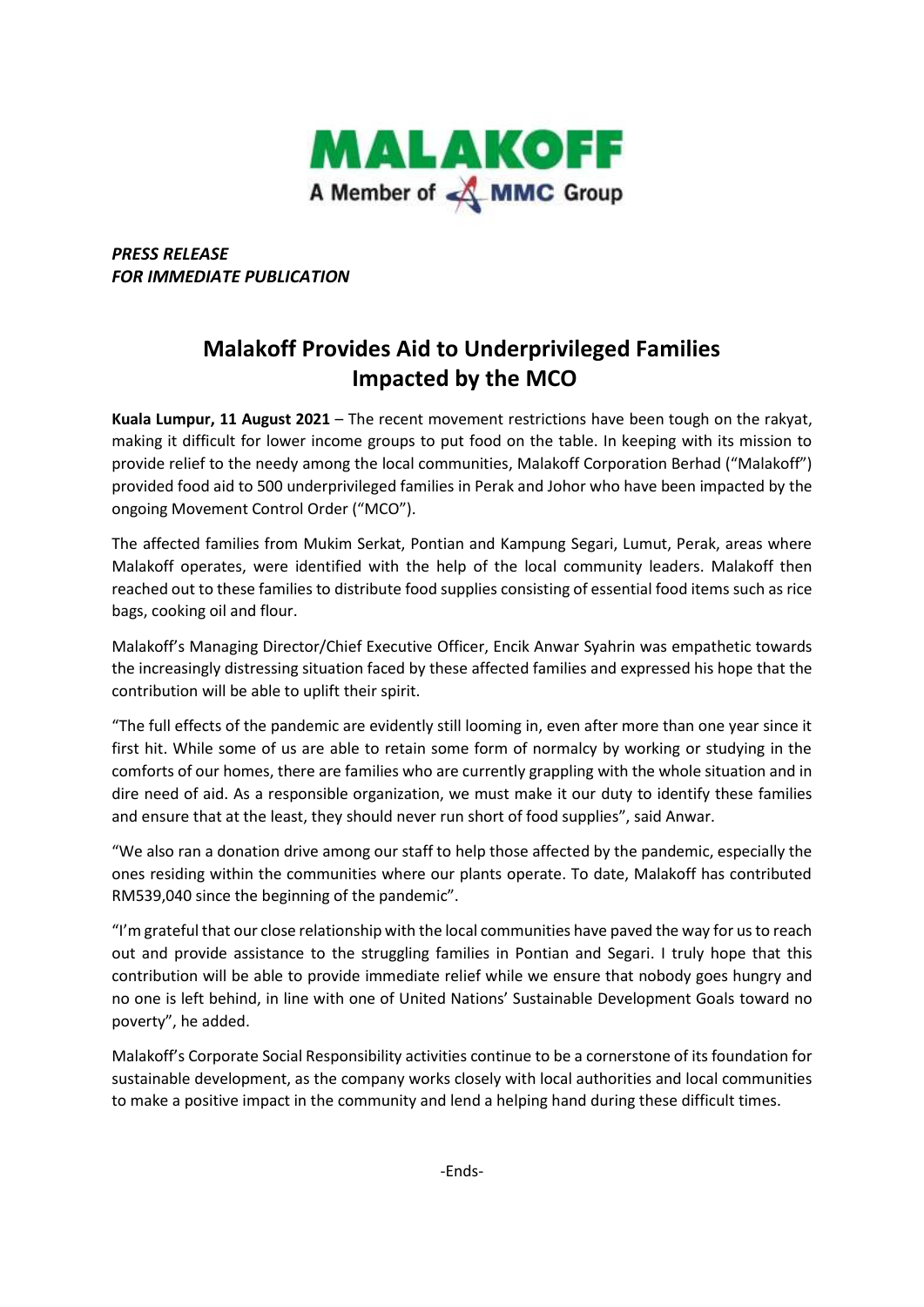

*PRESS RELEASE FOR IMMEDIATE PUBLICATION* 

## **Malakoff Provides Aid to Underprivileged Families Impacted by the MCO**

**Kuala Lumpur, 11 August 2021** – The recent movement restrictions have been tough on the rakyat, making it difficult for lower income groups to put food on the table. In keeping with its mission to provide relief to the needy among the local communities, Malakoff Corporation Berhad ("Malakoff") provided food aid to 500 underprivileged families in Perak and Johor who have been impacted by the ongoing Movement Control Order ("MCO").

The affected families from Mukim Serkat, Pontian and Kampung Segari, Lumut, Perak, areas where Malakoff operates, were identified with the help of the local community leaders. Malakoff then reached out to these families to distribute food supplies consisting of essential food items such as rice bags, cooking oil and flour.

Malakoff's Managing Director/Chief Executive Officer, Encik Anwar Syahrin was empathetic towards the increasingly distressing situation faced by these affected families and expressed his hope that the contribution will be able to uplift their spirit.

"The full effects of the pandemic are evidently still looming in, even after more than one year since it first hit. While some of us are able to retain some form of normalcy by working or studying in the comforts of our homes, there are families who are currently grappling with the whole situation and in dire need of aid. As a responsible organization, we must make it our duty to identify these families and ensure that at the least, they should never run short of food supplies", said Anwar.

"We also ran a donation drive among our staff to help those affected by the pandemic, especially the ones residing within the communities where our plants operate. To date, Malakoff has contributed RM539,040 since the beginning of the pandemic".

"I'm grateful that our close relationship with the local communities have paved the way for us to reach out and provide assistance to the struggling families in Pontian and Segari. I truly hope that this contribution will be able to provide immediate relief while we ensure that nobody goes hungry and no one is left behind, in line with one of United Nations' Sustainable Development Goals toward no poverty", he added.

Malakoff's Corporate Social Responsibility activities continue to be a cornerstone of its foundation for sustainable development, as the company works closely with local authorities and local communities to make a positive impact in the community and lend a helping hand during these difficult times.